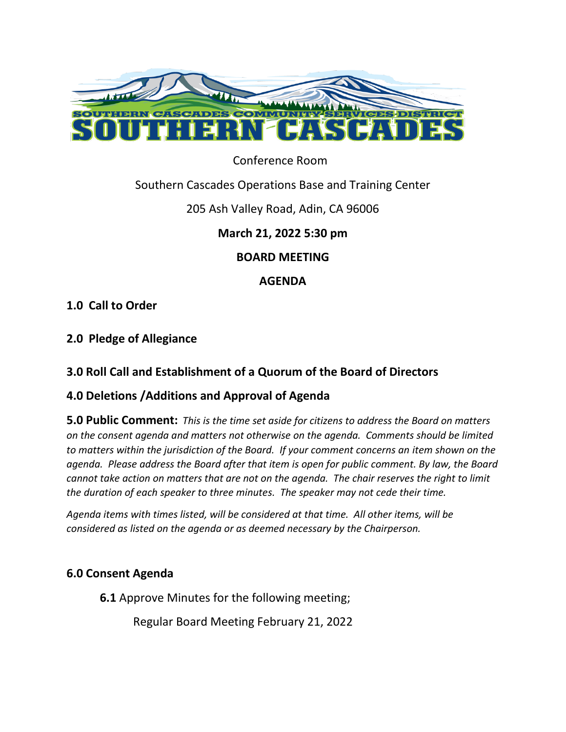

Conference Room

# Southern Cascades Operations Base and Training Center

### 205 Ash Valley Road, Adin, CA 96006

# **March 21, 2022 5:30 pm**

### **BOARD MEETING**

# **AGENDA**

# **1.0 Call to Order**

# **2.0 Pledge of Allegiance**

# **3.0 Roll Call and Establishment of a Quorum of the Board of Directors**

# **4.0 Deletions /Additions and Approval of Agenda**

**5.0 Public Comment:** *This is the time set aside for citizens to address the Board on matters on the consent agenda and matters not otherwise on the agenda. Comments should be limited to matters within the jurisdiction of the Board. If your comment concerns an item shown on the agenda. Please address the Board after that item is open for public comment. By law, the Board cannot take action on matters that are not on the agenda. The chair reserves the right to limit the duration of each speaker to three minutes. The speaker may not cede their time.* 

*Agenda items with times listed, will be considered at that time. All other items, will be considered as listed on the agenda or as deemed necessary by the Chairperson.*

#### **6.0 Consent Agenda**

**6.1** Approve Minutes for the following meeting;

Regular Board Meeting February 21, 2022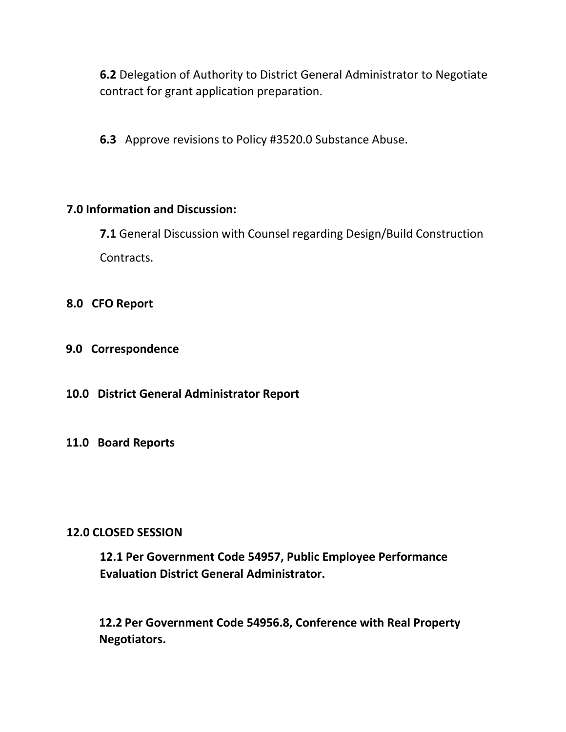**6.2** Delegation of Authority to District General Administrator to Negotiate contract for grant application preparation.

**6.3** Approve revisions to Policy #3520.0 Substance Abuse.

#### **7.0 Information and Discussion:**

**7.1** General Discussion with Counsel regarding Design/Build Construction Contracts.

- **8.0 CFO Report**
- **9.0 Correspondence**
- **10.0 District General Administrator Report**

#### **11.0 Board Reports**

#### **12.0 CLOSED SESSION**

**12.1 Per Government Code 54957, Public Employee Performance Evaluation District General Administrator.**

**12.2 Per Government Code 54956.8, Conference with Real Property Negotiators.**